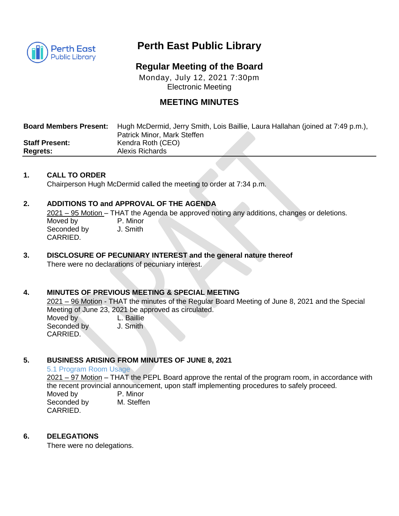

# **Perth East Public Library**

# **Regular Meeting of the Board**

Monday, July 12, 2021 7:30pm Electronic Meeting

## **MEETING MINUTES**

| <b>Board Members Present:</b> | Hugh McDermid, Jerry Smith, Lois Baillie, Laura Hallahan (joined at 7:49 p.m.), |
|-------------------------------|---------------------------------------------------------------------------------|
|                               | Patrick Minor, Mark Steffen                                                     |
| <b>Staff Present:</b>         | Kendra Roth (CEO)                                                               |
| <b>Regrets:</b>               | <b>Alexis Richards</b>                                                          |

### **1. CALL TO ORDER**

Chairperson Hugh McDermid called the meeting to order at 7:34 p.m.

## **2. ADDITIONS TO and APPROVAL OF THE AGENDA**

2021 – 95 Motion – THAT the Agenda be approved noting any additions, changes or deletions. Moved by P. Minor Seconded by J. Smith CARRIED.

## **3. DISCLOSURE OF PECUNIARY INTEREST and the general nature thereof**

There were no declarations of pecuniary interest.

#### **4. MINUTES OF PREVIOUS MEETING & SPECIAL MEETING**

2021 – 96 Motion - THAT the minutes of the Regular Board Meeting of June 8, 2021 and the Special Meeting of June 23, 2021 be approved as circulated. Moved by L. Baillie

Seconded by **J. Smith** CARRIED.

## **5. BUSINESS ARISING FROM MINUTES OF JUNE 8, 2021**

#### 5.1 Program Room Usage

2021 – 97 Motion – THAT the PEPL Board approve the rental of the program room, in accordance with the recent provincial announcement, upon staff implementing procedures to safely proceed. Moved by **P. Minor**<br>Seconded by **M. Steffen** Seconded by

CARRIED.

#### **6. DELEGATIONS**

There were no delegations.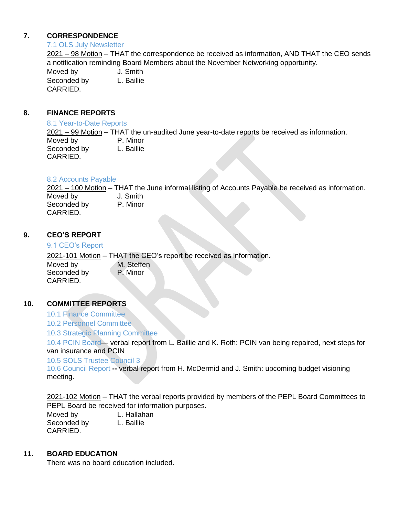## **7. CORRESPONDENCE**

#### 7.1 OLS July Newsletter

2021 – 98 Motion – THAT the correspondence be received as information, AND THAT the CEO sends a notification reminding Board Members about the November Networking opportunity.

Moved by **J.** Smith Seconded by L. Baillie CARRIED.

## **8. FINANCE REPORTS**

#### 8.1 Year-to-Date Reports

2021 – 99 Motion – THAT the un-audited June year-to-date reports be received as information. Moved by P. Minor Seconded by L. Baillie CARRIED.

## 8.2 Accounts Payable

2021 – 100 Motion – THAT the June informal listing of Accounts Payable be received as information. Moved by **J.** Smith Seconded by P. Minor CARRIED.

## **9. CEO'S REPORT**

#### 9.1 CEO's Report

2021-101 Motion – THAT the CEO's report be received as information. Moved by M. Steffen<br>Seconded by P. Minor Seconded by CARRIED.

#### **10. COMMITTEE REPORTS**

- 10.1 Finance Committee
- 10.2 Personnel Committee

10.3 Strategic Planning Committee

10.4 PCIN Board— verbal report from L. Baillie and K. Roth: PCIN van being repaired, next steps for van insurance and PCIN

#### 10.5 SOLS Trustee Council 3

10.6 Council Report **--** verbal report from H. McDermid and J. Smith: upcoming budget visioning meeting.

2021-102 Motion – THAT the verbal reports provided by members of the PEPL Board Committees to PEPL Board be received for information purposes.

Moved by L. Hallahan Seconded by L. Baillie CARRIED.

#### **11. BOARD EDUCATION**

There was no board education included.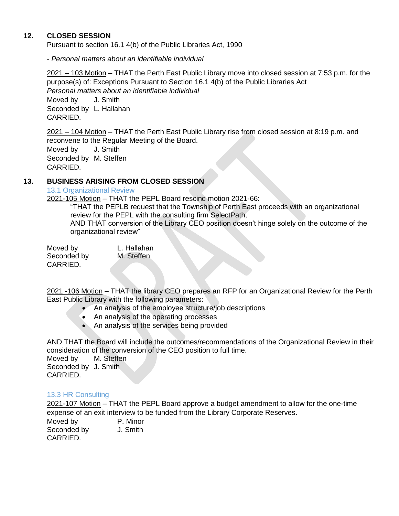## **12. CLOSED SESSION**

Pursuant to section 16.1 4(b) of the Public Libraries Act, 1990

- *Personal matters about an identifiable individual*

2021 – 103 Motion – THAT the Perth East Public Library move into closed session at 7:53 p.m. for the purpose(s) of: Exceptions Pursuant to Section 16.1 4(b) of the Public Libraries Act *Personal matters about an identifiable individual* 

Moved by **J.** Smith Seconded by L. Hallahan CARRIED.

2021 – 104 Motion – THAT the Perth East Public Library rise from closed session at 8:19 p.m. and reconvene to the Regular Meeting of the Board.

Moved by **J. Smith** Seconded by M. Steffen CARRIED.

## **13. BUSINESS ARISING FROM CLOSED SESSION**

13.1 Organizational Review

2021-105 Motion – THAT the PEPL Board rescind motion 2021-66:

"THAT the PEPLB request that the Township of Perth East proceeds with an organizational review for the PEPL with the consulting firm SelectPath,

AND THAT conversion of the Library CEO position doesn't hinge solely on the outcome of the organizational review"

Moved by L. Hallahan Seconded by M. Steffen CARRIED.

2021 -106 Motion – THAT the library CEO prepares an RFP for an Organizational Review for the Perth East Public Library with the following parameters:

- An analysis of the employee structure/job descriptions
- An analysis of the operating processes
- An analysis of the services being provided

AND THAT the Board will include the outcomes/recommendations of the Organizational Review in their consideration of the conversion of the CEO position to full time.

Moved by M. Steffen Seconded by J. Smith CARRIED.

#### 13.3 HR Consulting

2021-107 Motion – THAT the PEPL Board approve a budget amendment to allow for the one-time expense of an exit interview to be funded from the Library Corporate Reserves.

Moved by **P. Minor** Seconded by J. Smith CARRIED.